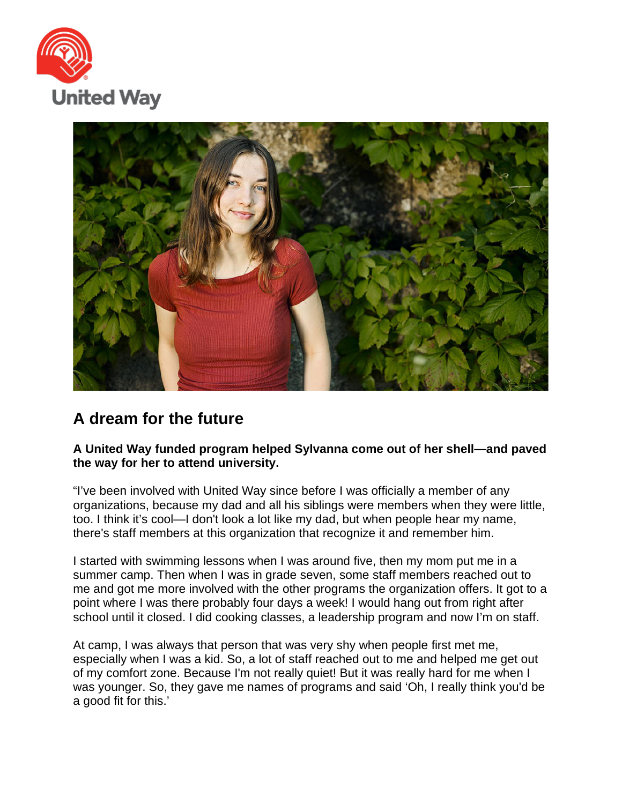



## **A dream for the future**

## **A United Way funded program helped Sylvanna come out of her shell—and paved the way for her to attend university.**

"I've been involved with United Way since before I was officially a member of any organizations, because my dad and all his siblings were members when they were little, too. I think it's cool—I don't look a lot like my dad, but when people hear my name, there's staff members at this organization that recognize it and remember him.

I started with swimming lessons when I was around five, then my mom put me in a summer camp. Then when I was in grade seven, some staff members reached out to me and got me more involved with the other programs the organization offers. It got to a point where I was there probably four days a week! I would hang out from right after school until it closed. I did cooking classes, a leadership program and now I'm on staff.

At camp, I was always that person that was very shy when people first met me, especially when I was a kid. So, a lot of staff reached out to me and helped me get out of my comfort zone. Because I'm not really quiet! But it was really hard for me when I was younger. So, they gave me names of programs and said 'Oh, I really think you'd be a good fit for this.'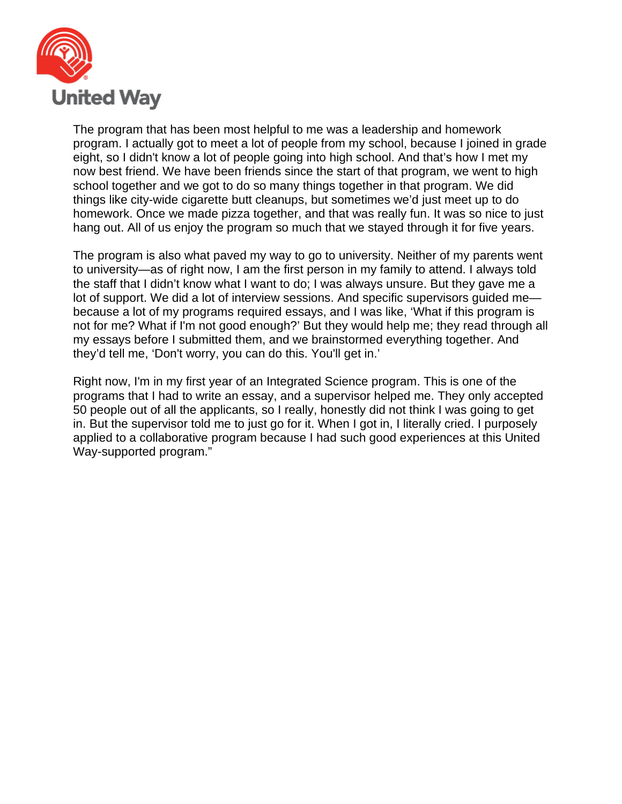

The program that has been most helpful to me was a leadership and homework program. I actually got to meet a lot of people from my school, because I joined in grade eight, so I didn't know a lot of people going into high school. And that's how I met my now best friend. We have been friends since the start of that program, we went to high school together and we got to do so many things together in that program. We did things like city-wide cigarette butt cleanups, but sometimes we'd just meet up to do homework. Once we made pizza together, and that was really fun. It was so nice to just hang out. All of us enjoy the program so much that we stayed through it for five years.

The program is also what paved my way to go to university. Neither of my parents went to university—as of right now, I am the first person in my family to attend. I always told the staff that I didn't know what I want to do; I was always unsure. But they gave me a lot of support. We did a lot of interview sessions. And specific supervisors guided me because a lot of my programs required essays, and I was like, 'What if this program is not for me? What if I'm not good enough?' But they would help me; they read through all my essays before I submitted them, and we brainstormed everything together. And they'd tell me, 'Don't worry, you can do this. You'll get in.'

Right now, I'm in my first year of an Integrated Science program. This is one of the programs that I had to write an essay, and a supervisor helped me. They only accepted 50 people out of all the applicants, so I really, honestly did not think I was going to get in. But the supervisor told me to just go for it. When I got in, I literally cried. I purposely applied to a collaborative program because I had such good experiences at this United Way-supported program."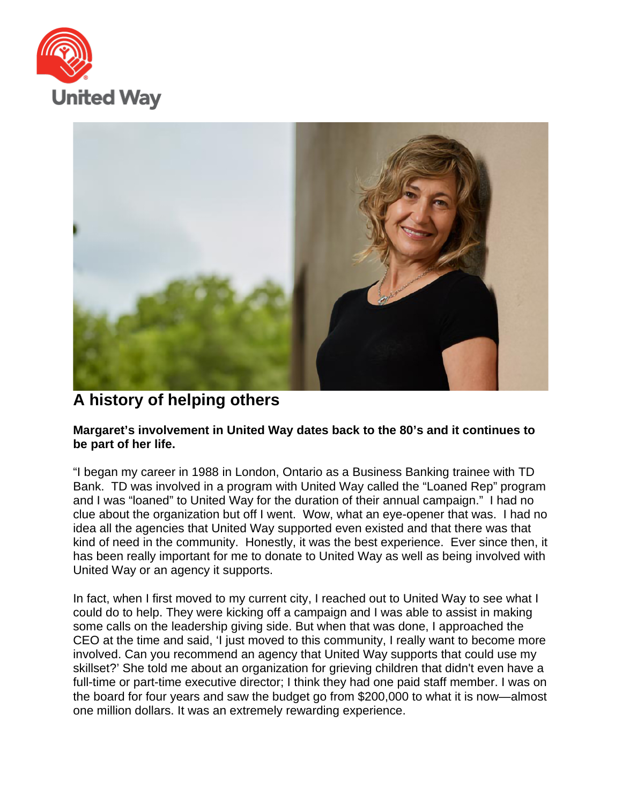



## **A history of helping others**

## **Margaret's involvement in United Way dates back to the 80's and it continues to be part of her life.**

"I began my career in 1988 in London, Ontario as a Business Banking trainee with TD Bank. TD was involved in a program with United Way called the "Loaned Rep" program and I was "loaned" to United Way for the duration of their annual campaign." I had no clue about the organization but off I went. Wow, what an eye-opener that was. I had no idea all the agencies that United Way supported even existed and that there was that kind of need in the community. Honestly, it was the best experience. Ever since then, it has been really important for me to donate to United Way as well as being involved with United Way or an agency it supports.

In fact, when I first moved to my current city, I reached out to United Way to see what I could do to help. They were kicking off a campaign and I was able to assist in making some calls on the leadership giving side. But when that was done, I approached the CEO at the time and said, 'I just moved to this community, I really want to become more involved. Can you recommend an agency that United Way supports that could use my skillset?' She told me about an organization for grieving children that didn't even have a full-time or part-time executive director; I think they had one paid staff member. I was on the board for four years and saw the budget go from \$200,000 to what it is now—almost one million dollars. It was an extremely rewarding experience.